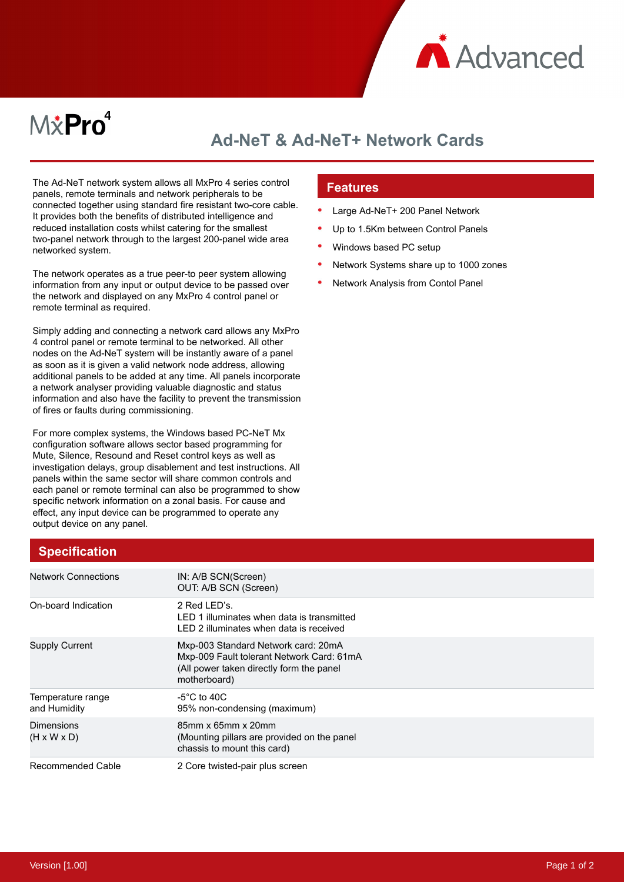

# M*\**Pro<sup>4</sup>

## **Ad-NeT & Ad-NeT+ Network Cards**

The Ad-NeT network system allows all MxPro 4 series control panels, remote terminals and network peripherals to be connected together using standard fire resistant two-core cable. It provides both the benefits of distributed intelligence and reduced installation costs whilst catering for the smallest two-panel network through to the largest 200-panel wide area networked system.

The network operates as a true peer-to peer system allowing information from any input or output device to be passed over the network and displayed on any MxPro 4 control panel or remote terminal as required.

Simply adding and connecting a network card allows any MxPro 4 control panel or remote terminal to be networked. All other nodes on the Ad-NeT system will be instantly aware of a panel as soon as it is given a valid network node address, allowing additional panels to be added at any time. All panels incorporate a network analyser providing valuable diagnostic and status information and also have the facility to prevent the transmission of fires or faults during commissioning.

For more complex systems, the Windows based PC-NeT Mx configuration software allows sector based programming for Mute, Silence, Resound and Reset control keys as well as investigation delays, group disablement and test instructions. All panels within the same sector will share common controls and each panel or remote terminal can also be programmed to show specific network information on a zonal basis. For cause and effect, any input device can be programmed to operate any output device on any panel.

## **Features**

- Large Ad-NeT+ 200 Panel Network
- Up to 1.5Km between Control Panels
- Windows based PC setup
- Network Systems share up to 1000 zones
- Network Analysis from Contol Panel

| <b>Specification</b> |
|----------------------|
|----------------------|

| <b>Network Connections</b>            | IN: A/B SCN(Screen)<br>OUT: A/B SCN (Screen)                                                                                                 |
|---------------------------------------|----------------------------------------------------------------------------------------------------------------------------------------------|
| On-board Indication                   | 2 Red LED's.<br>LED 1 illuminates when data is transmitted<br>LED 2 illuminates when data is received                                        |
| <b>Supply Current</b>                 | Mxp-003 Standard Network card: 20mA<br>Mxp-009 Fault tolerant Network Card: 61mA<br>(All power taken directly form the panel<br>motherboard) |
| Temperature range<br>and Humidity     | -5 $\degree$ C to 40C<br>95% non-condensing (maximum)                                                                                        |
| Dimensions<br>$(H \times W \times D)$ | 85mm x 65mm x 20mm<br>(Mounting pillars are provided on the panel<br>chassis to mount this card)                                             |
| Recommended Cable                     | 2 Core twisted-pair plus screen                                                                                                              |